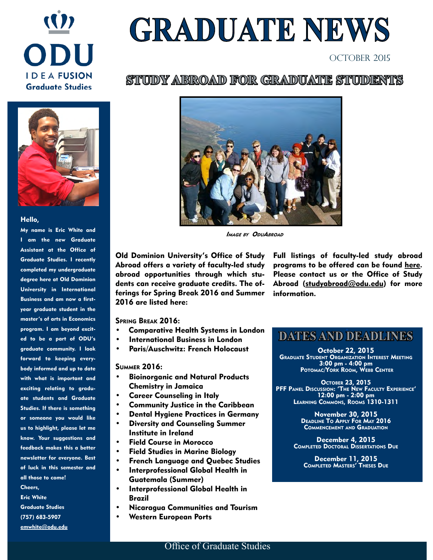

# **GRADUATE NEWS**

#### October 2015

#### STUDDY ABROAD FOR GRADUATE STUDENTS



#### Hello,

My name is Eric White and I am the new Graduate Assistant at the Office of Graduate Studies. I recently completed my undergraduate degree here at Old Dominion University in International Business and am now a firstyear graduate student in the master's of arts in Economics program. I am beyond excited to be a part of ODU's graduate community. I look forward to keeping everybody informed and up to date with what is important and exciting relating to graduate students and Graduate Studies. If there is something or someone you would like us to highlight, please let me know. Your suggestions and feedback makes this a better newsletter for everyone. Best of luck in this semester and all those to come! Cheers, Eric White Graduate Studies (757) 683-5907 [emwhite@odu.edu](mailto:emwhite@odu.edu)



Image by OduAbroad

Old Dominion University's Office of Study Abroad offers a variety of faculty-led study abroad opportunities through which students can receive graduate credits. The offerings for Spring Break 2016 and Summer 2016 are listed here:

Full listings of faculty-led study abroad programs to be offered can be found [here](http://odu.studioabroad.com/index.cfm?FuseAction=Abroad.ViewLink&Parent_ID=0&Link_ID=472BF3A9-D4AE-52AF-ABFA44AD40CF0DBA). Please contact us or the Office of Study Abroad ([studyabroad@odu.edu](mailto:studyabroad@odu.edu)) for more information.

Spring Break 2016:

- Comparative Health Systems in London
- International Business in London
- Paris/Auschwitz: French Holocaust

Summer 2016:

- Bioinorganic and Natural Products Chemistry in Jamaica
- Career Counseling in Italy
- Community Justice in the Caribbean
- Dental Hygiene Practices in Germany
- Diversity and Counseling Summer Institute in Ireland
- Field Course in Morocco
- Field Studies in Marine Biology
- French Language and Quebec Studies
- Interprofessional Global Health in Guatemala (Summer)
- Interprofessional Global Health in Brazil
- Nicaragua Communities and Tourism
- Western European Ports

# t **DATES AND DEADLINES**

October 22, 2015 Graduate Student Organization Interest Meeting 3:00 pm - 4:00 pm Potomac/York Room, Webb Center

OCTOBER 23, 2015<br>PFF PANEL DISCUSSION: 'THE NEW FACULTY EXPERIENCE' PFF Panel Discussion: 'The New Faculty Experience' 12:00 pm - 2:00 pm Learning Commons, Rooms 1310-1311

> November 30, 2015 Deadline To Apply For May 2016 Commencement and Graduation

December 4, 2015 Completed Doctoral Dissertations Due

December 11, 2015 Completed Masters' Theses Due